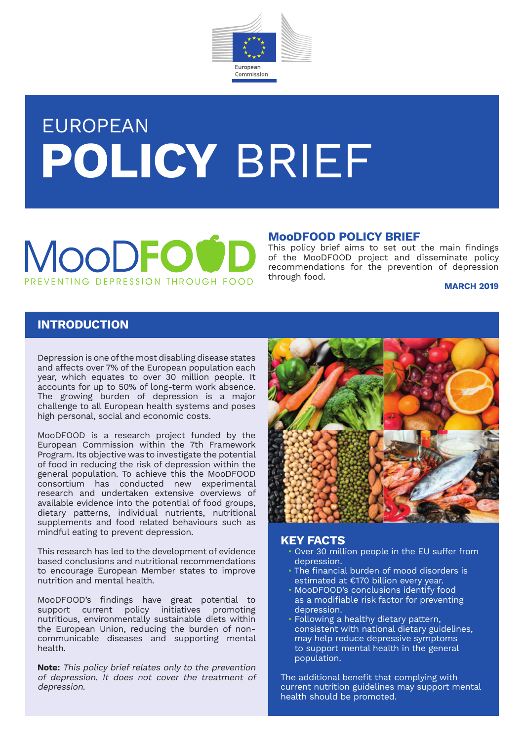

# EUROPEAN **POLICY** BRIEF

## MOODE NIING DEPRESSION THROUGH FOOD

#### **MooDFOOD POLICY BRIEF**

This policy brief aims to set out the main findings of the MooDFOOD project and disseminate policy recommendations for the prevention of depression through food.

#### **March 2019**

#### **INTRODUCTION**

Depression is one of the most disabling disease states and affects over 7% of the European population each year, which equates to over 30 million people. It accounts for up to 50% of long-term work absence. The growing burden of depression is a major challenge to all European health systems and poses high personal, social and economic costs.

MooDFOOD is a research project funded by the European Commission within the 7th Framework Program. Its objective was to investigate the potential of food in reducing the risk of depression within the general population. To achieve this the MooDFOOD consortium has conducted new experimental research and undertaken extensive overviews of available evidence into the potential of food groups, dietary patterns, individual nutrients, nutritional supplements and food related behaviours such as mindful eating to prevent depression.

This research has led to the development of evidence based conclusions and nutritional recommendations to encourage European Member states to improve nutrition and mental health.

MooDFOOD's findings have great potential to support current policy initiatives promoting nutritious, environmentally sustainable diets within the European Union, reducing the burden of noncommunicable diseases and supporting mental health.

**Note:** This policy brief relates only to the prevention of depression. It does not cover the treatment of depression.



- **KEY FACTS** Over 30 million people in the EU suffer from depression.
	- The financial burden of mood disorders is estimated at €170 billion every year.
	- MooDFOOD's conclusions identify food as a modifiable risk factor for preventing depression.
	- Following a healthy dietary pattern, consistent with national dietary guidelines, may help reduce depressive symptoms to support mental health in the general population.

The additional benefit that complying with current nutrition guidelines may support mental health should be promoted.